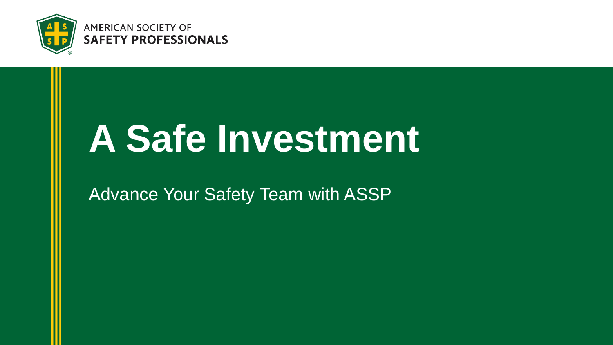

**AMERICAN SOCIETY OF SAFETY PROFESSIONALS** 

# **A Safe Investment**

Advance Your Safety Team with ASSP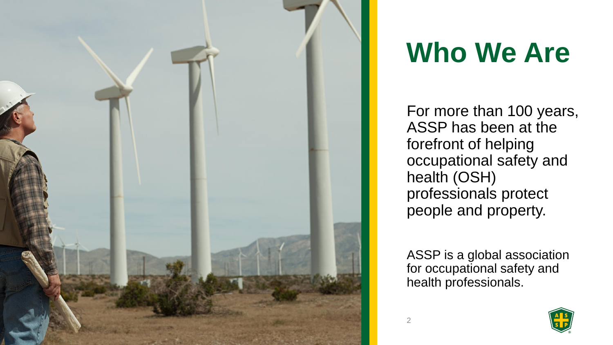

## **Who We Are**

For more than 100 years, ASSP has been at the forefront of helping occupational safety and health (OSH) professionals protect people and property.

ASSP is a global association for occupational safety and health professionals.

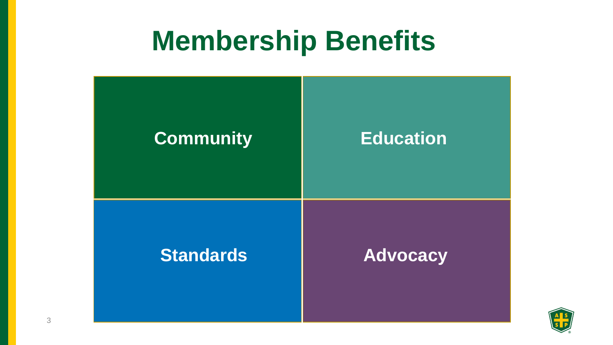### **Membership Benefits**



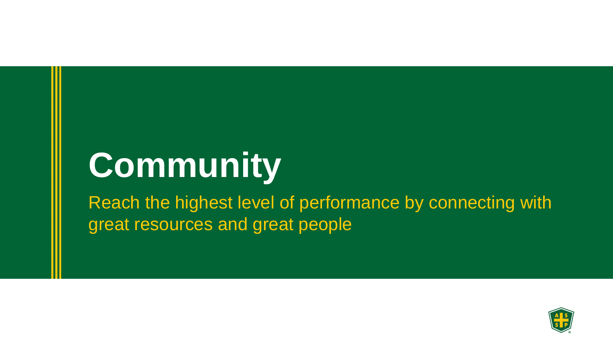# **Community**

Reach the highest level of performance by connecting with great resources and great people

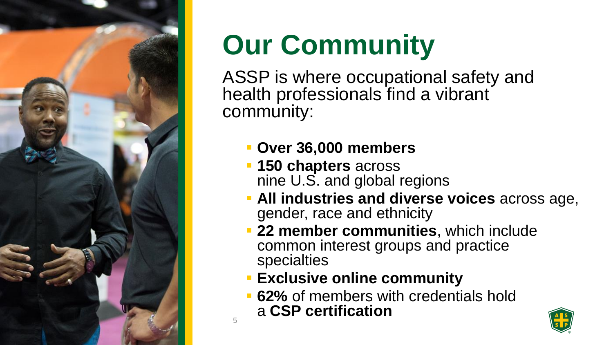

# **Our Community**

ASSP is where occupational safety and health professionals find a vibrant community:

- **Over 36,000 members**
- **150 chapters** across nine U.S. and global regions
- **All industries and diverse voices** across age, gender, race and ethnicity
- **22 member communities**, which include common interest groups and practice specialties
- **Exclusive online community**

5

**62%** of members with credentials hold a **CSP certification**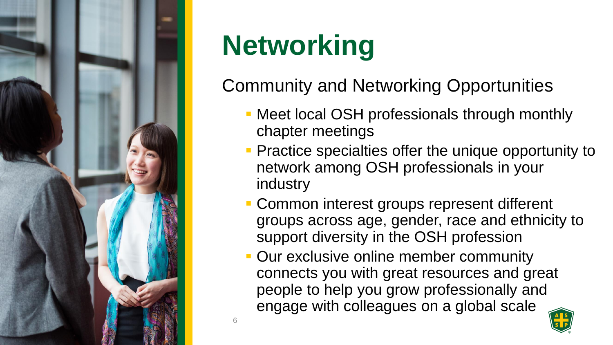

# **Networking**

6

### Community and Networking Opportunities

- Meet local OSH professionals through monthly chapter meetings
- **Practice specialties offer the unique opportunity to** network among OSH professionals in your industry
- **Common interest groups represent different** groups across age, gender, race and ethnicity to support diversity in the OSH profession
- Our exclusive online member community connects you with great resources and great people to help you grow professionally and engage with colleagues on a global scale

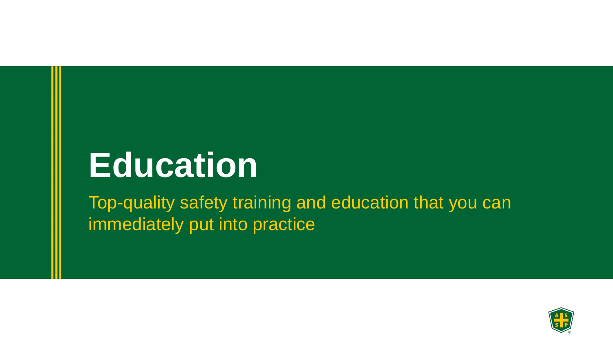# **Education**

Top-quality safety training and education that you can immediately put into practice

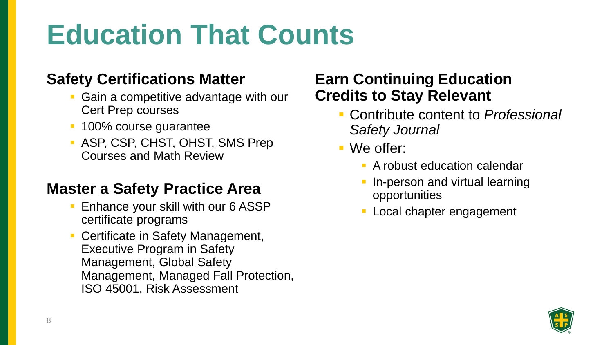# **Education That Counts**

#### **Safety Certifications Matter**

- Gain a competitive advantage with our Cert Prep courses
- **100% course guarantee**
- ASP, CSP, CHST, OHST, SMS Prep Courses and Math Review

#### **Master a Safety Practice Area**

- **Enhance your skill with our 6 ASSP** certificate programs
- **Certificate in Safety Management,** Executive Program in Safety Management, Global Safety Management, Managed Fall Protection, ISO 45001, Risk Assessment

#### **Earn Continuing Education Credits to Stay Relevant**

- Contribute content to *Professional Safety Journal*
- We offer:
	- **E** A robust education calendar
	- In-person and virtual learning opportunities
	- Local chapter engagement

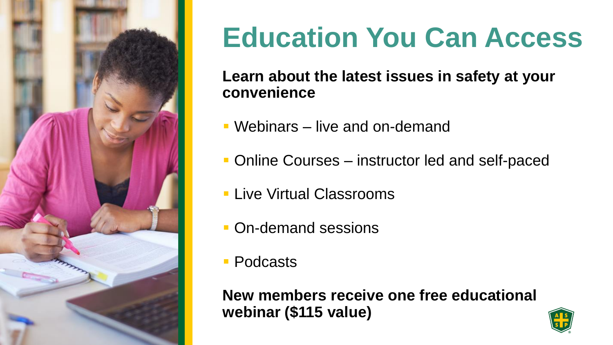

## **Education You Can Access**

**Learn about the latest issues in safety at your convenience**

- Webinars live and on-demand
- Online Courses instructor led and self-paced
- **Elive Virtual Classrooms**
- **On-demand sessions**
- Podcasts

**New members receive one free educational webinar (\$115 value)**

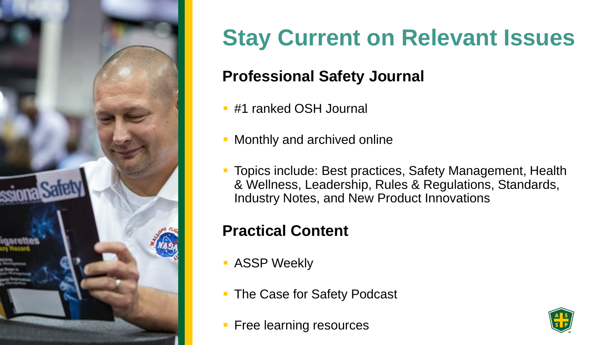

### **Stay Current on Relevant Issues**

#### **Professional Safety Journal**

- #1 ranked OSH Journal
- **Monthly and archived online**
- Topics include: Best practices, Safety Management, Health & Wellness, Leadership, Rules & Regulations, Standards, Industry Notes, and New Product Innovations

#### **Practical Content**

- **B** ASSP Weekly
- **The Case for Safety Podcast**
- **Free learning resources**

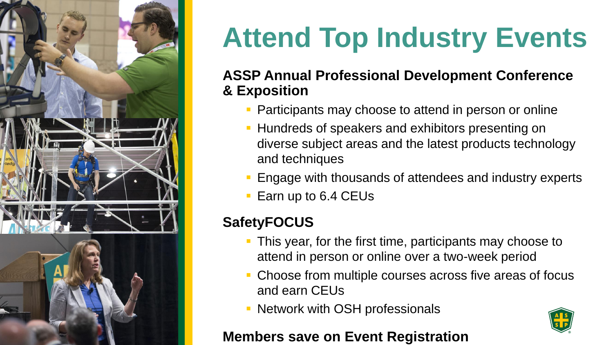

# **Attend Top Industry Events**

#### **ASSP Annual Professional Development Conference & Exposition**

- Participants may choose to attend in person or online
- **EXTERN** Hundreds of speakers and exhibitors presenting on diverse subject areas and the latest products technology and techniques
- Engage with thousands of attendees and industry experts
- Earn up to 6.4 CEUs

#### **SafetyFOCUS**

- **This year, for the first time, participants may choose to** attend in person or online over a two-week period
- Choose from multiple courses across five areas of focus and earn CEUs
- **EXECUTE:** Network with OSH professionals

#### **Members save on Event Registration**

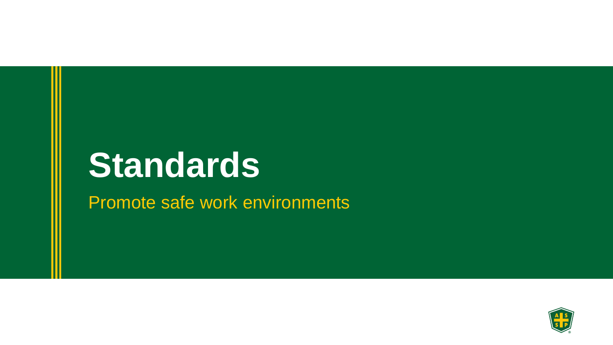# **Standards**

Promote safe work environments

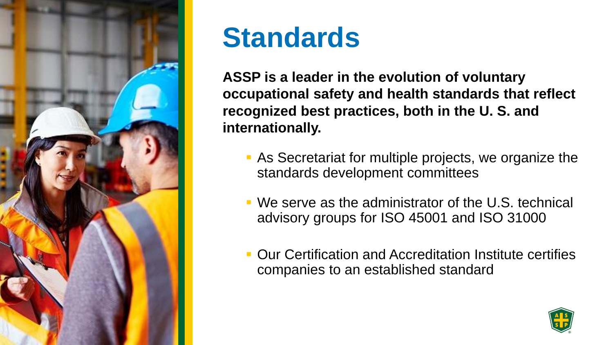

### **Standards**

**ASSP is a leader in the evolution of voluntary occupational safety and health standards that reflect recognized best practices, both in the U. S. and internationally.**

- As Secretariat for multiple projects, we organize the standards development committees
- We serve as the administrator of the U.S. technical advisory groups for ISO 45001 and ISO 31000
- Our Certification and Accreditation Institute certifies companies to an established standard

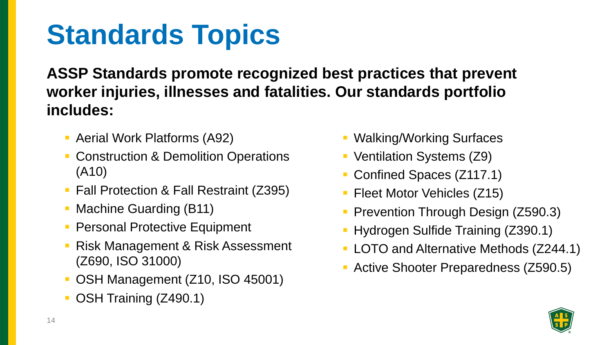# **Standards Topics**

**ASSP Standards promote recognized best practices that prevent worker injuries, illnesses and fatalities. Our standards portfolio includes:**

- **Aerial Work Platforms (A92)**
- **EXECONSTRUCTION & Demolition Operations** (A10)
- Fall Protection & Fall Restraint (Z395)
- **Machine Guarding (B11)**
- **Personal Protective Equipment**
- **Risk Management & Risk Assessment** (Z690, ISO 31000)
- OSH Management (Z10, ISO 45001)
- **OSH Training (Z490.1)**
- **Walking/Working Surfaces**
- Ventilation Systems (Z9)
- Confined Spaces (Z117.1)
- **Fileet Motor Vehicles (Z15)**
- **Prevention Through Design (Z590.3)**
- **Hydrogen Sulfide Training (Z390.1)**
- **LOTO and Alternative Methods (Z244.1)**
- **EXECTIVE Shooter Preparedness (Z590.5)**

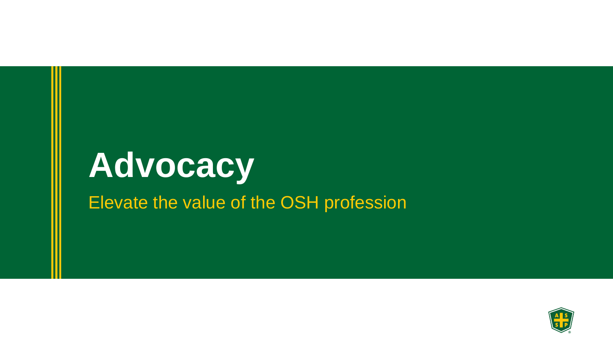# **Advocacy**

Elevate the value of the OSH profession

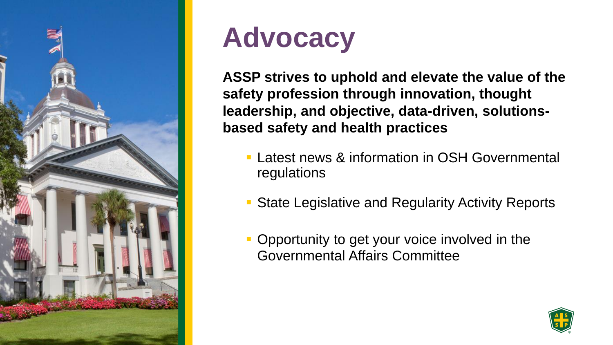

### **Advocacy**

**ASSP strives to uphold and elevate the value of the safety profession through innovation, thought leadership, and objective, data-driven, solutionsbased safety and health practices**

- **EXTERN Latest news & information in OSH Governmental** regulations
- **State Legislative and Regularity Activity Reports**
- **Opportunity to get your voice involved in the Governmental Affairs Committee**

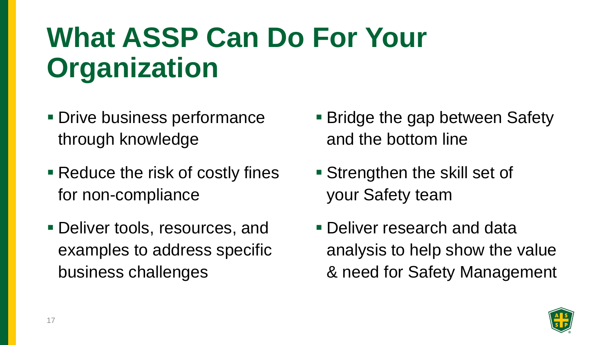# **What ASSP Can Do For Your Organization**

- Drive business performance through knowledge
- Reduce the risk of costly fines for non-compliance
- **Deliver tools, resources, and** examples to address specific business challenges
- Bridge the gap between Safety and the bottom line
- Strengthen the skill set of your Safety team
- **Deliver research and data** analysis to help show the value & need for Safety Management